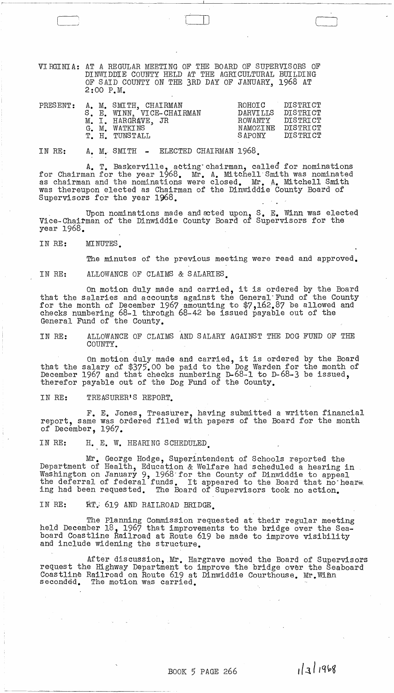VIRGINIA: AT A REGULAR MEETING OF THE BOARD OF SUPERVISORS OF DINWIDDIE COUNTY HELD AT THE AGRICULTURAL BUILDING OF SAID COUNTY ON THE 3RD DAY OF JANUARY, 1968 AT 2:00 P.M.

للـــــا

| $\mathtt{PRESENT}$ : |  | A. M. SMITH, CHAIRMAN<br>S. E. WINN, VICE-CHAIRMAN<br>M. I. HARGRAVE, JR<br>G. M. WATKINS<br>T. H. TUNSTALL | ROHOTC<br><b>DARVILLS</b><br>ROWANTY<br>NAMOZTNE<br>SAPONY | DISTRICT<br>DISTRICT<br>DISTRICT<br>DISTRICT<br>DISTRICT |
|----------------------|--|-------------------------------------------------------------------------------------------------------------|------------------------------------------------------------|----------------------------------------------------------|
|                      |  |                                                                                                             |                                                            |                                                          |

IN RE: A. M. SMITH - ELECTED CHAIRMAN 1968.

A. T. Baskerville, acting"chairman, called for nominations for Chairman for the year 1968. Mr. A. Mitchell Smith was nominated as chairman and the nominations were closed. Mr. A. Mitchell Smith was thereupon elected as Chairman of the Dinwiddie County Board of Supervisors for the year 1968.

Upon nominations made and ated upon,  $S$ . E. Winn was elected Vice-Chairman of the Dinwiddie County Board of Supervisors for the year 1968.

IN RE: MINUTES.

The minutes of the previous meeting were read and approved.

IN RE: ALLOWANCE OF CLAIMS & SALARIES.

On motion duly made and carried, it is ordered by the Board that the salaries and accounts against the General"Fund of the County for the month of December 1967 amounting to \$7,162.87 be allowed and checks numbering 68-1 through 68-42 be issued payable out of the General Fund of the County.

IN RE: ALLOWANCE OF CLAIMS AND SALARY AGAINST THE DOG FUND OF THE COUNTY.

On motion duly made and carried, it is ordered by the Board that the salary of \$375.00 be paid to the Dog Warden for the month of December 1967 and that checks numbering D-68-1 to D-68-3 be issued, therefor payable out of the Dog Fund of the County.

IN RE: TREASURER'S REPORT.

F. E. Jones, Treasurer, having submitted a written financial report, same was brdered filed with papers of the Board for the month of December, 1967.

IN RE: H. E. W. HEARING SCHEDULED ີ້.<br><sub>ກກກ</sub>ໍ

M~. George Hodge, Superintendent of Schools reported the Department of Health, Education & Welfare had scheduled a hearing in Washington on January 9, 1968 for the County of Dinwiddie to appeal the deferral of federal funds. It appeared to the Board that no hear\*. ing had been requested. The Board of Supervisors took no action.

IN RE: RT. 619 AND RAILROAD BRIDGE.

----.\_--------------

The Planning Commission requested at their regular meeting held December 18, 1967 that improvements to the bridge over the Seaboard Coastline Railroad at Route 619 be made to improve visibility and include widening the structure.

After discussion, Mr. Hargrave moved the Board of Supervisors request the Highway Department to improve the bridge over the Seaboard Coastline Railroad on Route 619 at Dinwiddie Courthouse. Mr. Wimm<br>seconded. The motion was carried. The motion was carried.

 $\label{eq:2.1} \begin{array}{l} \mathcal{L}_{\mathcal{A}}(\mathcal{A})=\mathcal{L}_{\mathcal{A}}(\mathcal{A})\otimes\mathcal{L}_{\mathcal{A}}(\mathcal{A})\otimes\mathcal{L}_{\mathcal{A}}(\mathcal{A})\otimes\mathcal{L}_{\mathcal{A}}(\mathcal{A})\otimes\mathcal{L}_{\mathcal{A}}(\mathcal{A})\otimes\mathcal{L}_{\mathcal{A}}(\mathcal{A})\otimes\mathcal{L}_{\mathcal{A}}(\mathcal{A})\otimes\mathcal{L}_{\mathcal{A}}(\mathcal{A})\otimes\mathcal{L}_{\mathcal{A}}(\mathcal{A})$ 

1/3/1968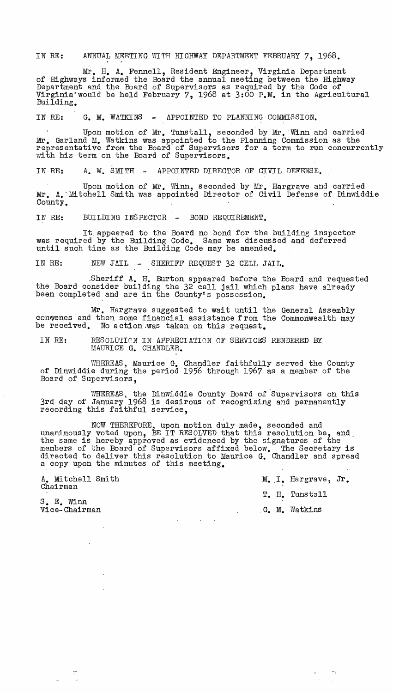IN RE: ANNUAL MEETING WITH HIGHWAY DEPARTMENT FEBRUARY 7, 1968.

Mr. H. A. Fennell, Resident Engineer, Virginia Department<br>of Highways informed the Board the annual meeting between the Highway<br>Department and the Board of Supervisors as required by the Code of Virginia would be held February 7, 1968 at 3:00 P.M. in the Agricultural Building.

IN RE: G. M. WATKINS - APPOINTED TO PLANNING COMMISSION.

Upon motion of Mr. Tunstall, seconded by Mr. Winn and carried Mr. Garland M. Watkins was appointed to the Planning Commission as the representative from the Board of Supervisors for a term to run concurrently with his term on the Board of SUpervisors.

IN RE: A. M. SMITH - APPOINTED DIRECTOR OF CIVIL DEFENSE.

Upon motion of Mr. Winn, seconded by Mr. Hargrave and carried Mr. A. Mitchell Smith was appointed Director of Civil Defense of Dinwiddie County.

IN RE: BUILDING INSPECTOR - BOND REQUIREMENT.

It appeared to the Board no bond for the building inspector was required by the Building Code. Same was discussed and deferred until such time as the Building Code may be amended.

IN RE: NEW JAIL - SHERIFF REQUEST 32 CELL JAIL.

.sheriff A. H. Burton appeared before the Board and requested the Board consider building the 32 cell jail which plans have already been completed and are in the County's possession.

Mr. Hargrave suggested to wait until the General Assembly conwenes and then some financial assistance from the Commonwealth may be received. No action.was taken on this request.

IN RE: RESOLUTION IN APPRECIATION OF SERVICES RENDERED BY MAURICE G. CHANDLER.

WHEREAS, Maurice G. Chandler faithfully served the County of Dinwiddie during the period 1956 through 1967 as a member of the Board of Supervisors,

WHEREAS, the Dinwiddie County Board of Supervisors on this 3rd day of January 1968 is desirous of recognizing and permanently recording this faithful service.

NOW THEREFORE, upon motion duly made, seconded and unanimously voted upon, BE IT RESOLVED that this resolution be, and. the same is hereby approved as evidenced by the signatures of the members of the Board of Supervisors affixed below. The Secretary is directed to deliver this resolution to Maurice G. Chandler and spread a copy upon the minutes of this meeting.

 $\sim$ 

Chairman

 $\sim$   $\sim$ 

A. Mitchell Smith  $M_{\bullet}$  I. Hargrave, Jr. T. H. Tunstall Vice-Chairman . G •. M. Watkins

 $\frac{1}{\sqrt{2}}$ 

S. E. Winn<br>Vice-Chairman

 $\begin{pmatrix} 1 & 1 \\ 1 & 1 \end{pmatrix}$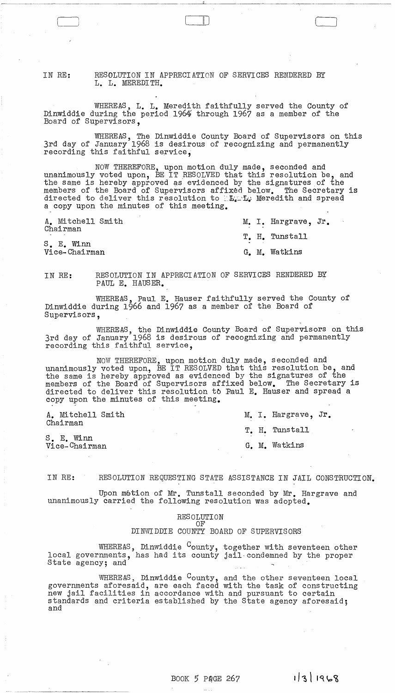IN RE: RESOLUTION IN APPRECIATION OF SERVICES RENDERED BY L. L. MEREDITH.

WHEREAS, L. L. Meredith faithfully served the County of Dinwiddie during the period 1964' through 1967 as a member of the Board of Supervisors,

WHEREAS, The Dinwiddie County Board of Supervisors on this 3rd day of January 1968 is desirous of recognizing and permanently recording this faithful service,

 $\Box$ 

NOW THEREFORE, upon motion duly made, seconded and unanimously voted upon, BE IT RESOLVED that this resolution be, and the same is hereby approved as evidenced by the signatures of the members of the Board of Supervisors affixed below. The Secretary is directed to deliver this resolution to  $E_{\mathbf{L}}$ . If Meredith and spread a copy upon the minutes of this meeting.

A. Mitchell Smith Chairman

M. I. Hargrave, Jr. T. H. Tunstall

S. E. Winn Vice-Chairman G. M. Watkins

IN RE: RESOLUTION IN APPRECIATION OF SERVICES RENDERED BY PAUL E. HAUSER.

WHEREAS, Paul E. Hauser faithfully served the County of Dinwiddie during 1966 and 1967 as a member of the Board of Supervisors,

WHEREAS, the Dinwiddie County Board of Supervisors on this 3rd day of January 1968 is desirous of recognizing and permanently recording this faithful service,

NOW THEREFORE, upon motion duly made, seconded and unanimously voted upon, BE IT RESOLVED that this resolution be, and the same is hereby approved as evidenced by the Signatures of the members of the Board of Supervisors affixed below. The Secretary is directed to deliver this resolution *tb* Raul E. Hauser and spread a copy upon the minutes of this meeting.

| A. Mitchell Smith<br>Chairman |  | M. I. Hargrave, Jr. |  |
|-------------------------------|--|---------------------|--|
|                               |  | T. H. Tunstall      |  |
| S. E. Winn<br>Vice-Chairman   |  | G. M. Watkins       |  |

IN RE: RESOLUTION REQUESTING STATE ASSISTANCE IN JAIL CONSTRUCTION.

Upon motion of Mr. Tunstall seconded by Mr. Hargrave and unanimously carried the following resolution was adopted.

> RESOLUTION OF

DINWIDDIE COUNTY BOARD OF SUPERVISORS

WHEREAS, Dinwiddie  $^{\textrm{C}}$ ounty, together with seventeen other local governments, has had its county, Jogether with Seventeen bulled<br>State agency; and

WHEREAS, Dinwiddie  $C_{\text{ounty}}$ , and the other seventeen local governments aforesaid, are each faced with the task of constructing new jail facilities in accordance with and pursuant to certain standards and criteria established by the State agency aforesaid; and

1/3/1968